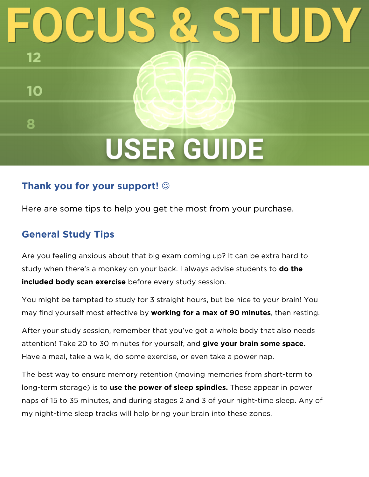# **USER GUIDE**

## **Thank you for your support!**

Here are some tips to help you get the most from your purchase.

### **General Study Tips**

12

10

8

Are you feeling anxious about that big exam coming up? It can be extra hard to study when there's a monkey on your back. I always advise students to **do the included body scan exercise** before every study session.

You might be tempted to study for 3 straight hours, but be nice to your brain! You may find yourself most effective by **working for a max of 90 minutes**, then resting.

After your study session, remember that you've got a whole body that also needs attention! Take 20 to 30 minutes for yourself, and **give your brain some space.** Have a meal, take a walk, do some exercise, or even take a power nap.

The best way to ensure memory retention (moving memories from short-term to long-term storage) is to **use the power of sleep spindles.** These appear in power naps of 15 to 35 minutes, and during stages 2 and 3 of your night-time sleep. Any of my night-time sleep tracks will help bring your brain into these zones.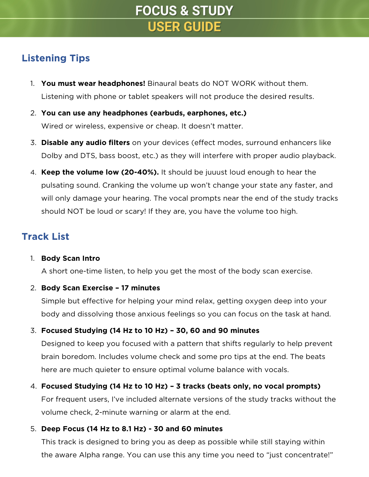# **FOCUS & STUDY USER GUIDE**

## **Listening Tips**

- 1. **You must wear headphones!** Binaural beats do NOT WORK without them. Listening with phone or tablet speakers will not produce the desired results.
- 2. **You can use any headphones (earbuds, earphones, etc.)**  Wired or wireless, expensive or cheap. It doesn't matter.
- 3. **Disable any audio filters** on your devices (effect modes, surround enhancers like Dolby and DTS, bass boost, etc.) as they will interfere with proper audio playback.
- 4. **Keep the volume low (20-40%).** It should be juuust loud enough to hear the pulsating sound. Cranking the volume up won't change your state any faster, and will only damage your hearing. The vocal prompts near the end of the study tracks should NOT be loud or scary! If they are, you have the volume too high.

## **Track List**

#### 1. **Body Scan Intro**

A short one-time listen, to help you get the most of the body scan exercise.

#### 2. **Body Scan Exercise – 17 minutes**

Simple but effective for helping your mind relax, getting oxygen deep into your body and dissolving those anxious feelings so you can focus on the task at hand.

#### 3. **Focused Studying (14 Hz to 10 Hz) – 30, 60 and 90 minutes**

Designed to keep you focused with a pattern that shifts regularly to help prevent brain boredom. Includes volume check and some pro tips at the end. The beats here are much quieter to ensure optimal volume balance with vocals.

#### 4. **Focused Studying (14 Hz to 10 Hz) – 3 tracks (beats only, no vocal prompts)**

For frequent users, I've included alternate versions of the study tracks without the volume check, 2-minute warning or alarm at the end.

#### 5. **Deep Focus (14 Hz to 8.1 Hz) - 30 and 60 minutes**

This track is designed to bring you as deep as possible while still staying within the aware Alpha range. You can use this any time you need to "just concentrate!"